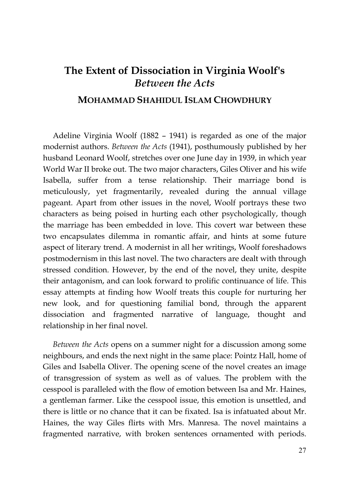## **The Extent of Dissociation in Virginia Woolf's** *Between the Acts*

## **MOHAMMAD SHAHIDUL ISLAM CHOWDHURY**

Adeline Virginia Woolf (1882 – 1941) is regarded as one of the major modernist authors. *Between the Acts* (1941), posthumously published by her husband Leonard Woolf, stretches over one June day in 1939, in which year World War II broke out. The two major characters, Giles Oliver and his wife Isabella, suffer from a tense relationship. Their marriage bond is meticulously, yet fragmentarily, revealed during the annual village pageant. Apart from other issues in the novel, Woolf portrays these two characters as being poised in hurting each other psychologically, though the marriage has been embedded in love. This covert war between these two encapsulates dilemma in romantic affair, and hints at some future aspect of literary trend. A modernist in all her writings, Woolf foreshadows postmodernism in this last novel. The two characters are dealt with through stressed condition. However, by the end of the novel, they unite, despite their antagonism, and can look forward to prolific continuance of life. This essay attempts at finding how Woolf treats this couple for nurturing her new look, and for questioning familial bond, through the apparent dissociation and fragmented narrative of language, thought and relationship in her final novel.

*Between the Acts* opens on a summer night for a discussion among some neighbours, and ends the next night in the same place: Pointz Hall, home of Giles and Isabella Oliver. The opening scene of the novel creates an image of transgression of system as well as of values. The problem with the cesspool is paralleled with the flow of emotion between Isa and Mr. Haines, a gentleman farmer. Like the cesspool issue, this emotion is unsettled, and there is little or no chance that it can be fixated. Isa is infatuated about Mr. Haines, the way Giles flirts with Mrs. Manresa. The novel maintains a fragmented narrative, with broken sentences ornamented with periods.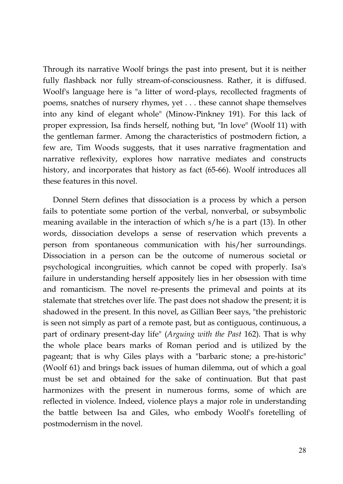Through its narrative Woolf brings the past into present, but it is neither fully flashback nor fully stream-of-consciousness. Rather, it is diffused. Woolf's language here is "a litter of word-plays, recollected fragments of poems, snatches of nursery rhymes, yet . . . these cannot shape themselves into any kind of elegant whole" (Minow-Pinkney 191). For this lack of proper expression, Isa finds herself, nothing but, "In love" (Woolf 11) with the gentleman farmer. Among the characteristics of postmodern fiction, a few are, Tim Woods suggests, that it uses narrative fragmentation and narrative reflexivity, explores how narrative mediates and constructs history, and incorporates that history as fact (65-66). Woolf introduces all these features in this novel.

Donnel Stern defines that dissociation is a process by which a person fails to potentiate some portion of the verbal, nonverbal, or subsymbolic meaning available in the interaction of which s/he is a part (13). In other words, dissociation develops a sense of reservation which prevents a person from spontaneous communication with his/her surroundings. Dissociation in a person can be the outcome of numerous societal or psychological incongruities, which cannot be coped with properly. Isa's failure in understanding herself appositely lies in her obsession with time and romanticism. The novel re-presents the primeval and points at its stalemate that stretches over life. The past does not shadow the present; it is shadowed in the present. In this novel, as Gillian Beer says, "the prehistoric is seen not simply as part of a remote past, but as contiguous, continuous, a part of ordinary present-day life" (*Arguing with the Past* 162). That is why the whole place bears marks of Roman period and is utilized by the pageant; that is why Giles plays with a "barbaric stone; a pre-historic" (Woolf 61) and brings back issues of human dilemma, out of which a goal must be set and obtained for the sake of continuation. But that past harmonizes with the present in numerous forms, some of which are reflected in violence. Indeed, violence plays a major role in understanding the battle between Isa and Giles, who embody Woolf's foretelling of postmodernism in the novel.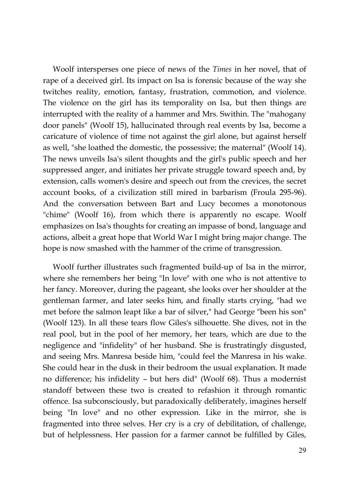Woolf intersperses one piece of news of the *Times* in her novel, that of rape of a deceived girl. Its impact on Isa is forensic because of the way she twitches reality, emotion, fantasy, frustration, commotion, and violence. The violence on the girl has its temporality on Isa, but then things are interrupted with the reality of a hammer and Mrs. Swithin. The "mahogany door panels" (Woolf 15), hallucinated through real events by Isa, become a caricature of violence of time not against the girl alone, but against herself as well, "she loathed the domestic, the possessive; the maternal" (Woolf 14). The news unveils Isa's silent thoughts and the girl's public speech and her suppressed anger, and initiates her private struggle toward speech and, by extension, calls women's desire and speech out from the crevices, the secret account books, of a civilization still mired in barbarism (Froula 295-96). And the conversation between Bart and Lucy becomes a monotonous "chime" (Woolf 16), from which there is apparently no escape. Woolf emphasizes on Isa's thoughts for creating an impasse of bond, language and actions, albeit a great hope that World War I might bring major change. The hope is now smashed with the hammer of the crime of transgression.

Woolf further illustrates such fragmented build-up of Isa in the mirror, where she remembers her being "In love" with one who is not attentive to her fancy. Moreover, during the pageant, she looks over her shoulder at the gentleman farmer, and later seeks him, and finally starts crying, "had we met before the salmon leapt like a bar of silver," had George "been his son" (Woolf 123). In all these tears flow Giles's silhouette. She dives, not in the real pool, but in the pool of her memory, her tears, which are due to the negligence and "infidelity" of her husband. She is frustratingly disgusted, and seeing Mrs. Manresa beside him, "could feel the Manresa in his wake. She could hear in the dusk in their bedroom the usual explanation. It made no difference; his infidelity – but hers did" (Woolf 68). Thus a modernist standoff between these two is created to refashion it through romantic offence. Isa subconsciously, but paradoxically deliberately, imagines herself being "In love" and no other expression. Like in the mirror, she is fragmented into three selves. Her cry is a cry of debilitation, of challenge, but of helplessness. Her passion for a farmer cannot be fulfilled by Giles,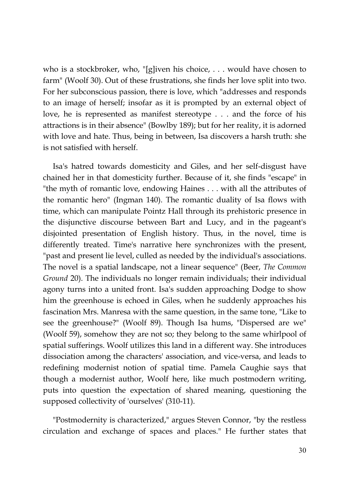who is a stockbroker, who, "[g]iven his choice, . . . would have chosen to farm" (Woolf 30). Out of these frustrations, she finds her love split into two. For her subconscious passion, there is love, which "addresses and responds to an image of herself; insofar as it is prompted by an external object of love, he is represented as manifest stereotype . . . and the force of his attractions is in their absence" (Bowlby 189); but for her reality, it is adorned with love and hate. Thus, being in between, Isa discovers a harsh truth: she is not satisfied with herself.

Isa's hatred towards domesticity and Giles, and her self-disgust have chained her in that domesticity further. Because of it, she finds "escape" in "the myth of romantic love, endowing Haines . . . with all the attributes of the romantic hero" (Ingman 140). The romantic duality of Isa flows with time, which can manipulate Pointz Hall through its prehistoric presence in the disjunctive discourse between Bart and Lucy, and in the pageant's disjointed presentation of English history. Thus, in the novel, time is differently treated. Time's narrative here synchronizes with the present, "past and present lie level, culled as needed by the individual's associations. The novel is a spatial landscape, not a linear sequence" (Beer, *The Common Ground* 20). The individuals no longer remain individuals; their individual agony turns into a united front. Isa's sudden approaching Dodge to show him the greenhouse is echoed in Giles, when he suddenly approaches his fascination Mrs. Manresa with the same question, in the same tone, "Like to see the greenhouse?" (Woolf 89). Though Isa hums, "Dispersed are we" (Woolf 59), somehow they are not so; they belong to the same whirlpool of spatial sufferings. Woolf utilizes this land in a different way. She introduces dissociation among the characters' association, and vice-versa, and leads to redefining modernist notion of spatial time. Pamela Caughie says that though a modernist author, Woolf here, like much postmodern writing, puts into question the expectation of shared meaning, questioning the supposed collectivity of 'ourselves' (310-11).

"Postmodernity is characterized," argues Steven Connor, "by the restless circulation and exchange of spaces and places." He further states that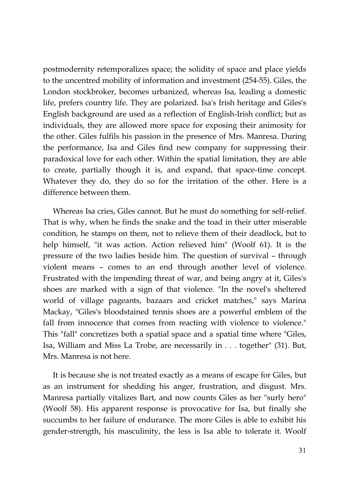postmodernity retemporalizes space; the solidity of space and place yields to the uncentred mobility of information and investment (254-55). Giles, the London stockbroker, becomes urbanized, whereas Isa, leading a domestic life, prefers country life. They are polarized. Isa's Irish heritage and Giles's English background are used as a reflection of English-Irish conflict; but as individuals, they are allowed more space for exposing their animosity for the other. Giles fulfils his passion in the presence of Mrs. Manresa. During the performance, Isa and Giles find new company for suppressing their paradoxical love for each other. Within the spatial limitation, they are able to create, partially though it is, and expand, that space-time concept. Whatever they do, they do so for the irritation of the other. Here is a difference between them.

Whereas Isa cries, Giles cannot. But he must do something for self-relief. That is why, when he finds the snake and the toad in their utter miserable condition, he stamps on them, not to relieve them of their deadlock, but to help himself, "it was action. Action relieved him" (Woolf 61). It is the pressure of the two ladies beside him. The question of survival – through violent means – comes to an end through another level of violence. Frustrated with the impending threat of war, and being angry at it, Giles's shoes are marked with a sign of that violence. "In the novel's sheltered world of village pageants, bazaars and cricket matches," says Marina Mackay, "Giles's bloodstained tennis shoes are a powerful emblem of the fall from innocence that comes from reacting with violence to violence." This "fall" concretizes both a spatial space and a spatial time where "Giles, Isa, William and Miss La Trobe, are necessarily in . . . together" (31). But, Mrs. Manresa is not here.

It is because she is not treated exactly as a means of escape for Giles, but as an instrument for shedding his anger, frustration, and disgust. Mrs. Manresa partially vitalizes Bart, and now counts Giles as her "surly hero" (Woolf 58). His apparent response is provocative for Isa, but finally she succumbs to her failure of endurance. The more Giles is able to exhibit his gender-strength, his masculinity, the less is Isa able to tolerate it. Woolf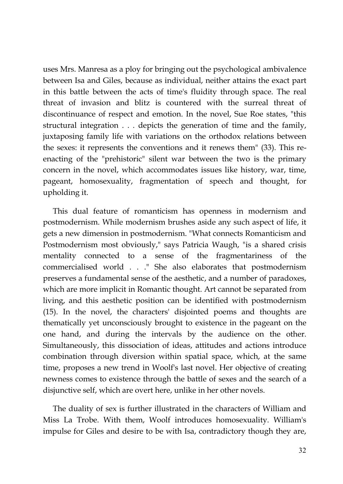uses Mrs. Manresa as a ploy for bringing out the psychological ambivalence between Isa and Giles, because as individual, neither attains the exact part in this battle between the acts of time's fluidity through space. The real threat of invasion and blitz is countered with the surreal threat of discontinuance of respect and emotion. In the novel, Sue Roe states, "this structural integration . . . depicts the generation of time and the family, juxtaposing family life with variations on the orthodox relations between the sexes: it represents the conventions and it renews them" (33). This reenacting of the "prehistoric" silent war between the two is the primary concern in the novel, which accommodates issues like history, war, time, pageant, homosexuality, fragmentation of speech and thought, for upholding it.

This dual feature of romanticism has openness in modernism and postmodernism. While modernism brushes aside any such aspect of life, it gets a new dimension in postmodernism. "What connects Romanticism and Postmodernism most obviously," says Patricia Waugh, "is a shared crisis mentality connected to a sense of the fragmentariness of the commercialised world . . ." She also elaborates that postmodernism preserves a fundamental sense of the aesthetic, and a number of paradoxes, which are more implicit in Romantic thought. Art cannot be separated from living, and this aesthetic position can be identified with postmodernism (15). In the novel, the characters' disjointed poems and thoughts are thematically yet unconsciously brought to existence in the pageant on the one hand, and during the intervals by the audience on the other. Simultaneously, this dissociation of ideas, attitudes and actions introduce combination through diversion within spatial space, which, at the same time, proposes a new trend in Woolf's last novel. Her objective of creating newness comes to existence through the battle of sexes and the search of a disjunctive self, which are overt here, unlike in her other novels.

The duality of sex is further illustrated in the characters of William and Miss La Trobe. With them, Woolf introduces homosexuality. William's impulse for Giles and desire to be with Isa, contradictory though they are,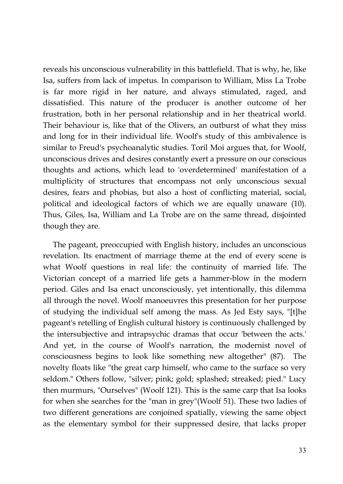reveals his unconscious vulnerability in this battlefield. That is why, he, like Isa, suffers from lack of impetus. In comparison to William, Miss La Trobe is far more rigid in her nature, and always stimulated, raged, and dissatisfied. This nature of the producer is another outcome of her frustration, both in her personal relationship and in her theatrical world. Their behaviour is, like that of the Olivers, an outburst of what they miss and long for in their individual life. Woolf's study of this ambivalence is similar to Freud's psychoanalytic studies. Toril Moi argues that, for Woolf, unconscious drives and desires constantly exert a pressure on our conscious thoughts and actions, which lead to 'overdetermined' manifestation of a multiplicity of structures that encompass not only unconscious sexual desires, fears and phobias, but also a host of conflicting material, social, political and ideological factors of which we are equally unaware (10). Thus, Giles, Isa, William and La Trobe are on the same thread, disjointed though they are.

The pageant, preoccupied with English history, includes an unconscious revelation. Its enactment of marriage theme at the end of every scene is what Woolf questions in real life: the continuity of married life. The Victorian concept of a married life gets a hammer-blow in the modern period. Giles and Isa enact unconsciously, yet intentionally, this dilemma all through the novel. Woolf manoeuvres this presentation for her purpose of studying the individual self among the mass. As Jed Esty says, "[t]he pageant's retelling of English cultural history is continuously challenged by the intersubjective and intrapsychic dramas that occur 'between the acts.' And yet, in the course of Woolf's narration, the modernist novel of consciousness begins to look like something new altogether" (87). The novelty floats like "the great carp himself, who came to the surface so very seldom." Others follow, "silver; pink; gold; splashed; streaked; pied." Lucy then murmurs, "Ourselves" (Woolf 121). This is the same carp that Isa looks for when she searches for the "man in grey"(Woolf 51). These two ladies of two different generations are conjoined spatially, viewing the same object as the elementary symbol for their suppressed desire, that lacks proper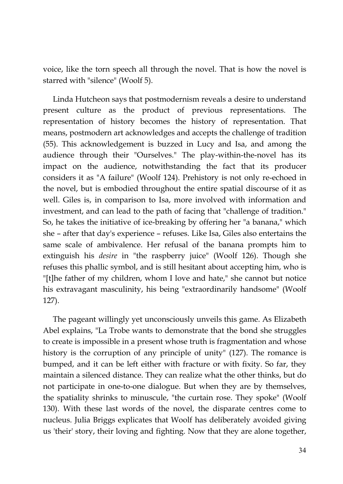voice, like the torn speech all through the novel. That is how the novel is starred with "silence" (Woolf 5).

Linda Hutcheon says that postmodernism reveals a desire to understand present culture as the product of previous representations. The representation of history becomes the history of representation. That means, postmodern art acknowledges and accepts the challenge of tradition (55). This acknowledgement is buzzed in Lucy and Isa, and among the audience through their "Ourselves." The play-within-the-novel has its impact on the audience, notwithstanding the fact that its producer considers it as "A failure" (Woolf 124). Prehistory is not only re-echoed in the novel, but is embodied throughout the entire spatial discourse of it as well. Giles is, in comparison to Isa, more involved with information and investment, and can lead to the path of facing that "challenge of tradition." So, he takes the initiative of ice-breaking by offering her "a banana," which she – after that day's experience – refuses. Like Isa, Giles also entertains the same scale of ambivalence. Her refusal of the banana prompts him to extinguish his *desire* in "the raspberry juice" (Woolf 126). Though she refuses this phallic symbol, and is still hesitant about accepting him, who is "[t]he father of my children, whom I love and hate," she cannot but notice his extravagant masculinity, his being "extraordinarily handsome" (Woolf 127).

The pageant willingly yet unconsciously unveils this game. As Elizabeth Abel explains, "La Trobe wants to demonstrate that the bond she struggles to create is impossible in a present whose truth is fragmentation and whose history is the corruption of any principle of unity" (127). The romance is bumped, and it can be left either with fracture or with fixity. So far, they maintain a silenced distance. They can realize what the other thinks, but do not participate in one-to-one dialogue. But when they are by themselves, the spatiality shrinks to minuscule, "the curtain rose. They spoke" (Woolf 130). With these last words of the novel, the disparate centres come to nucleus. Julia Briggs explicates that Woolf has deliberately avoided giving us 'their' story, their loving and fighting. Now that they are alone together,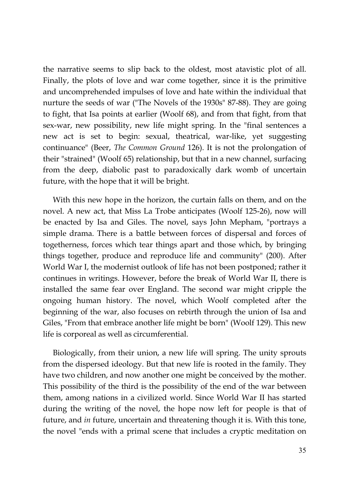the narrative seems to slip back to the oldest, most atavistic plot of all. Finally, the plots of love and war come together, since it is the primitive and uncomprehended impulses of love and hate within the individual that nurture the seeds of war ("The Novels of the 1930s" 87-88). They are going to fight, that Isa points at earlier (Woolf 68), and from that fight, from that sex-war, new possibility, new life might spring. In the "final sentences a new act is set to begin: sexual, theatrical, war-like, yet suggesting continuance" (Beer, *The Common Ground* 126). It is not the prolongation of their "strained" (Woolf 65) relationship, but that in a new channel, surfacing from the deep, diabolic past to paradoxically dark womb of uncertain future, with the hope that it will be bright.

With this new hope in the horizon, the curtain falls on them, and on the novel. A new act, that Miss La Trobe anticipates (Woolf 125-26), now will be enacted by Isa and Giles. The novel, says John Mepham, "portrays a simple drama. There is a battle between forces of dispersal and forces of togetherness, forces which tear things apart and those which, by bringing things together, produce and reproduce life and community" (200). After World War I, the modernist outlook of life has not been postponed; rather it continues in writings. However, before the break of World War II, there is installed the same fear over England. The second war might cripple the ongoing human history. The novel, which Woolf completed after the beginning of the war, also focuses on rebirth through the union of Isa and Giles, "From that embrace another life might be born" (Woolf 129). This new life is corporeal as well as circumferential.

Biologically, from their union, a new life will spring. The unity sprouts from the dispersed ideology. But that new life is rooted in the family. They have two children, and now another one might be conceived by the mother. This possibility of the third is the possibility of the end of the war between them, among nations in a civilized world. Since World War II has started during the writing of the novel, the hope now left for people is that of future, and *in* future, uncertain and threatening though it is. With this tone, the novel "ends with a primal scene that includes a cryptic meditation on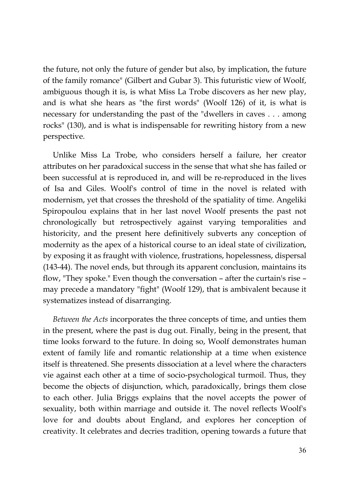the future, not only the future of gender but also, by implication, the future of the family romance" (Gilbert and Gubar 3). This futuristic view of Woolf, ambiguous though it is, is what Miss La Trobe discovers as her new play, and is what she hears as "the first words" (Woolf 126) of it, is what is necessary for understanding the past of the "dwellers in caves . . . among rocks" (130), and is what is indispensable for rewriting history from a new perspective.

Unlike Miss La Trobe, who considers herself a failure, her creator attributes on her paradoxical success in the sense that what she has failed or been successful at is reproduced in, and will be re-reproduced in the lives of Isa and Giles. Woolf's control of time in the novel is related with modernism, yet that crosses the threshold of the spatiality of time. Angeliki Spiropoulou explains that in her last novel Woolf presents the past not chronologically but retrospectively against varying temporalities and historicity, and the present here definitively subverts any conception of modernity as the apex of a historical course to an ideal state of civilization, by exposing it as fraught with violence, frustrations, hopelessness, dispersal (143-44). The novel ends, but through its apparent conclusion, maintains its flow, "They spoke." Even though the conversation – after the curtain's rise – may precede a mandatory "fight" (Woolf 129), that is ambivalent because it systematizes instead of disarranging.

*Between the Acts* incorporates the three concepts of time, and unties them in the present, where the past is dug out. Finally, being in the present, that time looks forward to the future. In doing so, Woolf demonstrates human extent of family life and romantic relationship at a time when existence itself is threatened. She presents dissociation at a level where the characters vie against each other at a time of socio-psychological turmoil. Thus, they become the objects of disjunction, which, paradoxically, brings them close to each other. Julia Briggs explains that the novel accepts the power of sexuality, both within marriage and outside it. The novel reflects Woolf's love for and doubts about England, and explores her conception of creativity. It celebrates and decries tradition, opening towards a future that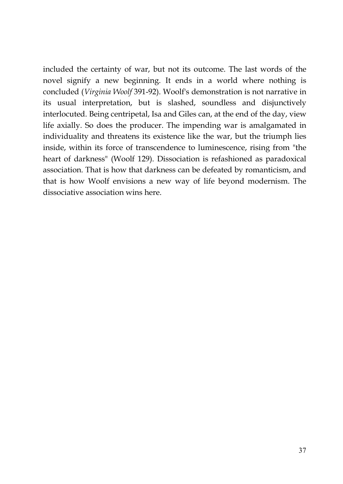included the certainty of war, but not its outcome. The last words of the novel signify a new beginning. It ends in a world where nothing is concluded (*Virginia Woolf* 391-92). Woolf's demonstration is not narrative in its usual interpretation, but is slashed, soundless and disjunctively interlocuted. Being centripetal, Isa and Giles can, at the end of the day, view life axially. So does the producer. The impending war is amalgamated in individuality and threatens its existence like the war, but the triumph lies inside, within its force of transcendence to luminescence, rising from "the heart of darkness" (Woolf 129). Dissociation is refashioned as paradoxical association. That is how that darkness can be defeated by romanticism, and that is how Woolf envisions a new way of life beyond modernism. The dissociative association wins here.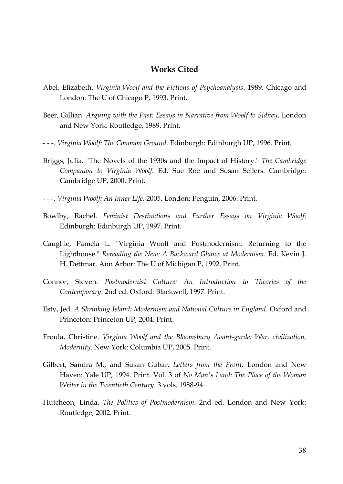## **Works Cited**

- Abel, Elizabeth. *Virginia Woolf and the Fictions of Psychoanalysis*. 1989. Chicago and London: The U of Chicago P, 1993. Print.
- Beer, Gillian. *Arguing with the Past: Essays in Narrative from Woolf to Sidney*. London and New York: Routledge, 1989. Print.
- - -. *Virginia Woolf: The Common Ground*. Edinburgh: Edinburgh UP, 1996. Print.
- Briggs, Julia. "The Novels of the 1930s and the Impact of History." *The Cambridge Companion to Virginia Woolf*. Ed. Sue Roe and Susan Sellers. Cambridge: Cambridge UP, 2000. Print.
- - -. *Virginia Woolf: An Inner Life*. 2005. London: Penguin, 2006. Print.
- Bowlby, Rachel. *Feminist Destinations and Further Essays on Virginia Woolf*. Edinburgh: Edinburgh UP, 1997. Print.
- Caughie, Pamela L. "Virginia Woolf and Postmodernism: Returning to the Lighthouse." *Rereading the New: A Backward Glance at Modernism*. Ed. Kevin J. H. Dettmar. Ann Arbor: The U of Michigan P, 1992. Print.
- Connor, Steven. *Postmodernist Culture: An Introduction to Theories of the Contemporary*. 2nd ed. Oxford: Blackwell, 1997. Print.
- Esty, Jed. *A Shrinking Island: Modernism and National Culture in England*. Oxford and Princeton: Princeton UP, 2004. Print.
- Froula, Christine. *Virginia Woolf and the Bloomsbury Avant-garde: War, civilization, Modernity*. New York: Columbia UP, 2005. Print.
- Gilbert, Sandra M., and Susan Gubar. *Letters from the Front*. London and New Haven: Yale UP, 1994. Print. Vol. 3 of *No Man's Land: The Place of the Woman Writer in the Twentieth Century*. 3 vols. 1988-94.
- Hutcheon, Linda. *The Politics of Postmodernism*. 2nd ed. London and New York: Routledge, 2002. Print.